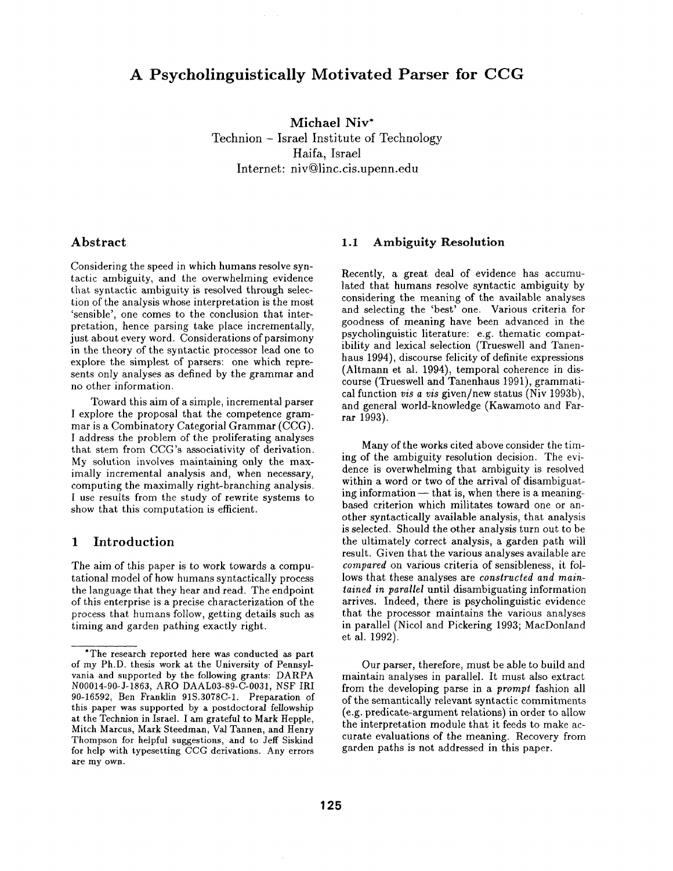# **A Psycholinguistically Motivated Parser for CCG**

**Michael Niv\***  Technion - Israel Institute of Technology Haifa, Israel Internet: niv@linc.cis.upenn.edu

# Abstract

Considering the speed in which humans resolve syntactic ambiguity, and the overwhelming evidence that syntactic ambiguity is resolved through selection of the analysis whose interpretation is the most 'sensible', one comes to the conclusion that interpretation, hence parsing take place incrementally, just about every word. Considerations of parsimony in the theory of the syntactic processor lead one to explore the simplest of parsers: one which represents only analyses as defined by the grammar and no other information.

Toward this aim of a simple, incremental parser I explore the proposal that the competence grammar is a Combinatory Categorial Grammar (CCG). I address the problem of the proliferating analyses that stem from CCG's associativity of derivation. My solution involves maintaining only the maximally incremental analysis and, when necessary, computing the maximally right-branching analysis. I use results from the study of rewrite systems to show that this computation is efficient.

# 1 Introduction

The aim of this paper is to work towards a computational model of how humans syntactically process the language that they hear and read. The endpoint of this enterprise is a precise characterization of the process that humans follow, getting details such as timing and garden pathing exactly right.

# 1.1 Ambiguity **Resolution**

Recently, a great deal of evidence has accumulated that humans resolve syntactic ambiguity by considering the meaning of the available analyses and selecting the 'best' one. Various criteria for goodness of meaning have been advanced in the psycholinguistic literature: e.g. thematic compatibility and lexical selection (Trueswell and Tanenhaus 1994), discourse felicity of definite expressions (Altmann et al. 1994), temporal coherence in discourse (Trueswell and Tanenhaus 1991), grammatical function *vis a vis* given/new status (Niv 1993b), and general world-knowledge (Kawamoto and Farrar 1993).

Many of the works cited above consider the timing of the ambiguity resolution decision. The evidence is overwhelming that ambiguity is resolved within a word or two of the arrival of disambiguating information $-$  that is, when there is a meaningbased criterion which militates toward one or another syntactically available analysis, that analysis is selected. Should the other analysis turn out to be the ultimately correct analysis, a garden path will result. Given that the various analyses available are *compared* on various criteria of sensibleness, it follows that these analyses are *constructed and maintained in parallel* until disambiguating information arrives. Indeed, there is psycholinguistic evidence that the processor maintains the various analyses in parallel (Nicol and Pickering 1993; MacDonland et al. 1992).

Our parser, therefore, must be able to build and maintain analyses in parallel. It must also extract from the developing parse in a *prompt* fashion all of the semantically relevant syntactic commitments (e.g. predicate-argument relations) in order to allow the interpretation module that it feeds to make accurate evaluations of the meaning. Recovery from garden paths is not addressed in this paper.

<sup>\*</sup>The research reported here was conducted as part of my Ph.D. thesis work at the University of Pennsylvania and supported by the following grants: DARPA N00014-90-J-1863, ARO DAAL03-89-C-0031, NSF IRI 90-16592, Ben Franklin 91S.3078C-1. Preparation of this paper was supported by a postdoctoral fellowship at the Technion in Israel. I am grateful to Mark Hepple, Mitch Marcus, Mark Steedman, Val Tannen, and Henry Thompson for helpful suggestions, and to Jeff Siskind for help with typesetting CCG derivations. Any errors are my own.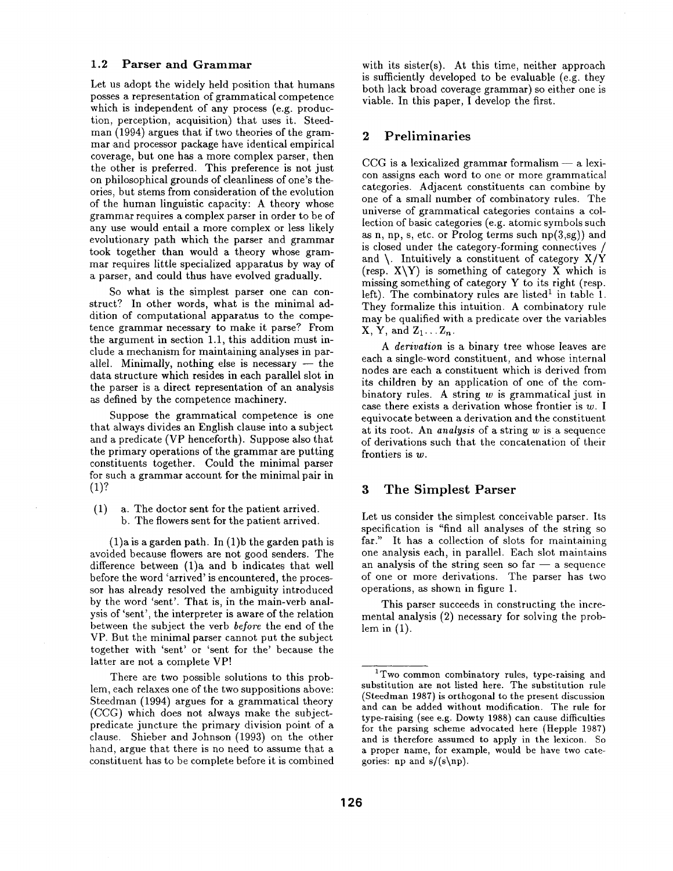#### **1.2 Parser and Grammar**

Let us adopt the widely held position that humans posses a representation of grammatical competence which is independent of any process (e.g. production, perception, acquisition) that uses it. Steedman (1994) argues that if two theories of the grammar and processor package have identical empirical coverage, but one has a more complex parser, then the other is preferred. This preference is not just on philosophical grounds of cleanliness of one's theories, but stems from consideration of the evolution of the human linguistic capacity: A theory whose grammar requires a complex parser in order to be of any use would entail a more complex or less likely evolutionary path which the parser and grammar took together than would a theory whose grammar requires little specialized apparatus by way of a parser, and could thus have evolved gradually.

So what is the simplest parser one can construct? In other words, what is the minimal addition of computational apparatus to the competence grammar necessary to make it parse? From the argument in section 1.1, this addition must include a mechanism for maintaining analyses in parallel. Minimally, nothing else is necessary  $-$  the data structure which resides in each parallel slot in the parser is a direct representation of an analysis as defined by the competence machinery.

Suppose the grammatical competence is one that always divides an English clause into a subject and a predicate (VP henceforth). Suppose also that the primary operations of the grammar are putting constituents together. Could the minimal parser for such a grammar account for the minimal pair in (1)?

(1) a. The doctor sent for the patient arrived. b. The flowers sent for the patient arrived.

(1)a is a garden path. In (1)b the garden path is avoided because flowers are not good senders. The difference between (1)a and b indicates that well before the word 'arrived' is encountered, the processor has already resolved the ambiguity introduced by the word 'sent'. That is, in the main-verb analysis of 'sent', the interpreter is aware of the relation between the subject the verb *before* the end of the VP. But the minimal parser cannot put the subject together with 'sent' or 'sent for the' because the latter are not a complete VP!

There are two possible solutions to this problem, each relaxes one of the two suppositions above: Steedman (1994) argues for a grammatical theory (CCG) which does not always make the subjectpredicate juncture the primary division point of a clause. Shieber and Johnson (1993) on the other hand, argue that there is no need to assume that a constituent has to be complete before it is combined with its sister(s). At this time, neither approach is sufficiently developed to be evaluable (e.g. they both lack broad coverage grammar) so either one is viable. In this paper, I develop the first.

## 2 Preliminaries

 $CCG$  is a lexicalized grammar formalism  $-$  a lexicon assigns each word to one or more grammatical categories. Adjacent constituents can combine by one of a small number of combinatory rules. The universe of grammatical categories contains a collection of basic categories (e.g. atomic symbols such as n, np, s, etc. or Prolog terms such  $np(3, sg)$  and is closed under the category-forming connectives / and  $\mathcal{N}$ . Intuitively a constituent of category  $X/Y$ (resp.  $X\Y$ ) is something of category X which is missing something of category Y to its right (resp. left). The combinatory rules are listed<sup>1</sup> in table 1. They formalize this intuition. A combinatory rule may be qualified with a predicate over the variables  $X, Y, \text{ and } Z_1 \ldots Z_n$ .

*A derivation* is a binary tree whose leaves are each a single-word constituent, and whose internal nodes are each a constituent which is derived from its children by an application of one of the combinatory rules. A string  $w$  is grammatical just in case there exists a derivation whose frontier is  $w$ . I equivocate between a derivation and the constituent at its root. An *analysis* of a string w is a sequence of derivations such that the concatenation of their frontiers is w.

# 3 The Simplest Parser

Let us consider the simplest conceivable parser. Its specification is "find all analyses of the string so far." It has a collection of slots for maintaining one analysis each, in parallel. Each slot maintains an analysis of the string seen so far  $-$  a sequence of one or more derivations. The parser has two operations, as shown in figure 1.

This parser succeeds in constructing the incremental analysis (2) necessary for solving the problem in  $(1)$ .

<sup>&</sup>lt;sup>1</sup>Two common combinatory rules, type-raising and substitution are not listed here. The substitution rule (Steedman 1987) is orthogonal to the present discussion and can be added without modification. The rule for type-raising (see e.g. Dowty 1988) can cause difficulties for the parsing scheme advocated here (Hepple 1987) and is therefore assumed to apply in the lexicon. So a proper name, for example, would be have two categories: np and  $s/(s\$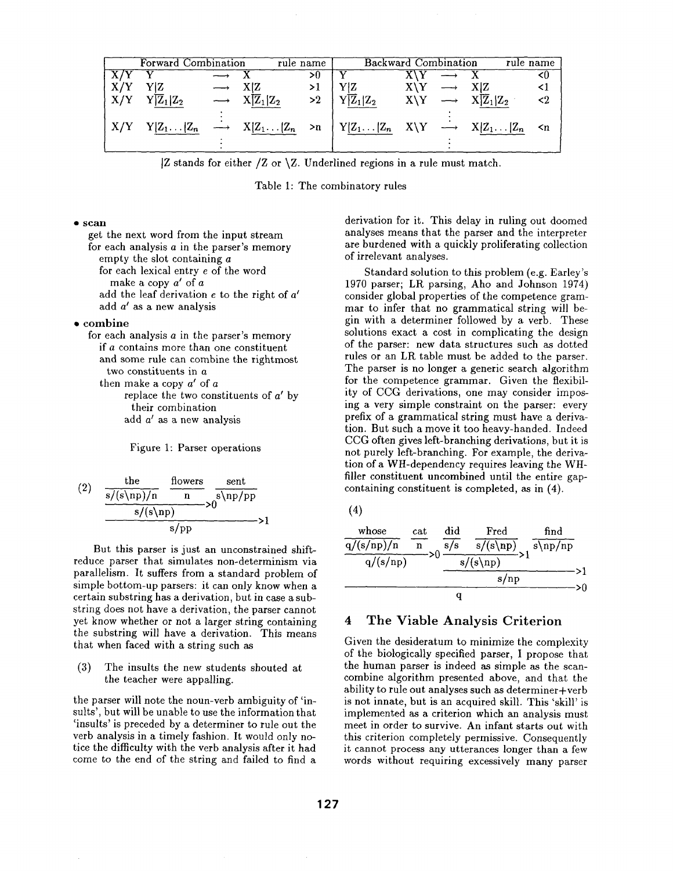| Forward Combination |                                                                                                                                                                                                 |  |                                           | <b>Backward Combination</b><br>rule name |                      |                           | rule name |                                                |             |
|---------------------|-------------------------------------------------------------------------------------------------------------------------------------------------------------------------------------------------|--|-------------------------------------------|------------------------------------------|----------------------|---------------------------|-----------|------------------------------------------------|-------------|
|                     |                                                                                                                                                                                                 |  |                                           | >0                                       |                      | $X\YY$                    |           |                                                | -10         |
| X/Y                 | YZ                                                                                                                                                                                              |  | X Z                                       | >1                                       | Y Z                  | $X\Y \longrightarrow X Z$ |           |                                                | <1          |
|                     | $X/Y$ $Y \overline{Z}_1 Z_2$                                                                                                                                                                    |  | $\longrightarrow$ $X[\overline{Z}_1 Z_2]$ |                                          | $>2$ $\sqrt{Z_1}Z_2$ |                           |           | $X \ Y \longrightarrow X \overline{Z}_1   Z_2$ | $\langle 2$ |
|                     | $\vert X/Y-Y\vert Z_1\ldots\vert Z_n \longrightarrow X\vert Z_1\ldots\vert Z_n\rightarrow n \vert Y\vert Z_1\ldots\vert Z_n\quad X\setminus Y \longrightarrow X\vert Z_1\ldots\vert Z_n\quad n$ |  |                                           |                                          |                      |                           |           |                                                |             |
|                     |                                                                                                                                                                                                 |  |                                           |                                          |                      |                           |           |                                                |             |

 $|Z \times Z$  stands for either  $|Z \times Z$ . Underlined regions in a rule must match.

Table 1: The combinatory rules

#### **• scan**

get the next word from the input stream for each analysis  $a$  in the parser's memory empty the slot containing a for each lexical entry e of the word make a copy  $a'$  of  $a$ add the leaf derivation  $e$  to the right of  $a'$ add  $a'$  as a new analysis

#### • combine

for each analysis a in the parser's memory if a contains more than one constituent and some rule can combine the rightmost two constituents in a then make a copy  $a'$  of a replace the two constituents of  $a'$  by

their combination add  $a'$  as a new analysis

Figure 1: Parser operations

(2) 
$$
\frac{\frac{\text{the}}{\text{s/(s(np)/n}} \cdot \frac{\text{flows}}{\text{n}})}{\frac{\text{s/(s(np)}}{\text{s/p}}} > 0
$$

But this parser is just an unconstrained shiftreduce parser that simulates non-determinism via parallelism. It suffers from a standard problem of simple bottom-up parsers: it can only know when a certain substring has a derivation, but in case a substring does not have a derivation, the parser cannot yet know whether or not a larger string containing the substring will have a derivation. This means that when faced with a string such as

(3) The insults the new students shouted at the teacher were appalling.

the parser will note the noun-verb ambiguity of 'insults', but will be unable to use the information that 'insults' is preceded by a determiner to rule out the verb analysis in a timely fashion. It would only notice the difficulty with the verb analysis after it had come to the end of the string and failed to find a derivation for it. This delay in ruling out doomed analyses means that the parser and the interpreter are burdened with a quickly proliferating collection of irrelevant analyses.

Standard solution to this problem (e.g. Earley's 1970 parser; LR parsing, Aho and Johnson 1974) consider global properties of the competence grammar to infer that no grammatical string will begin with a determiner followed by a verb. These solutions exact a cost in complicating the design of the parser: new data structures such as dotted rules or an LR table must be added to the parser. The parser is no longer a generic search algorithm for the competence grammar. Given the flexibility of CCG derivations, one may consider imposing a very simple constraint on the parser: every prefix of a grammatical string must have a derivation. But such a move it too heavy-handed. Indeed CCG often gives left-branching derivations, but it is not purely left-branching. For example, the derivation of a WH-dependency requires leaving the WHfiller constituent uncombined until the entire gapcontaining constituent is completed, as in (4).

| whose               | $_{\rm cat}$ | did | Fred                       | find      |  |  |  |
|---------------------|--------------|-----|----------------------------|-----------|--|--|--|
| q/(s/np)/n          |              | s/s | $\sqrt{\frac{s}{\ln p}}$ s | $s\np/np$ |  |  |  |
| $s/(s\$<br>q/(s/np) |              |     |                            |           |  |  |  |
|                     |              |     | $s$ /np                    |           |  |  |  |
|                     |              |     |                            |           |  |  |  |

#### 4 The Viable Analysis Criterion

Given the desideratum to minimize the complexity of the biologically specified parser, I propose that the human parser is indeed as simple as the scancombine algorithm presented above, and that the ability to rule out analyses such as determiner+verb is not innate, but is an acquired skill. This 'skill' is implemented as a criterion which an analysis must meet in order to survive. An infant starts out with this criterion completely permissive. Consequently it cannot process any utterances longer than a few words without requiring excessively many parser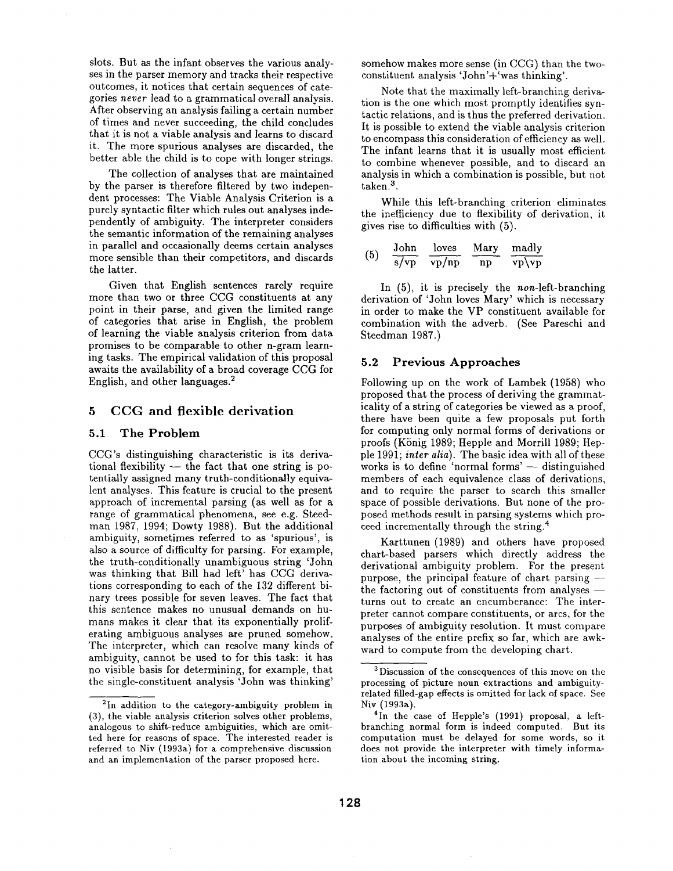slots. But as the infant observes the various analyses in the parser memory and tracks their respective outcomes, it notices that certain sequences of categories *never* lead to a grammatical overall analysis. After observing an analysis failing a certain number of times and never succeeding, the child concludes that it is not a viable analysis and learns to discard it. The more spurious analyses are discarded, the better able the child is to cope with longer strings.

The collection of analyses that are maintained by the parser is therefore filtered by two independent processes: The Viable Analysis Criterion is a purely syntactic filter which rules out analyses independently of ambiguity. The interpreter considers the semantic information of the remaining analyses in parallel and occasionally deems certain analyses more sensible than their competitors, and discards the latter.

Given that English sentences rarely require more than two or three CCG constituents at any point in their parse, and given the limited range of categories that arise in English, the problem of learning the viable analysis criterion from data promises to be comparable to other n-gram learning tasks. The empirical validation of this proposal awaits the availability of a broad coverage CCG for English, and other languages. 2

### 5 CCG and flexible derivation

#### 5.1 The Problem

CCG's distinguishing characteristic is its derivational flexibility  $-$  the fact that one string is potentially assigned many truth-conditionally equivalent analyses. This feature is crucial to the present approach of incremental parsing (as well as for a range of grammatical phenomena, see e.g. Steedman 1987, 1994; Dowty 1988). But the additional ambiguity, sometimes referred to as 'spurious', is also a source of difficulty for parsing. For example, the truth-conditionally unambiguous string 'John was thinking that Bill had left' has CCG derivations corresponding to each of the 132 different binary trees possible for seven leaves. The fact that this sentence makes no unusual demands on humans makes it clear that its exponentially prolifcrating ambiguous analyses are pruned somehow. The interpreter, which can resolve many kinds of ambiguity, cannot be used to for this task: it has no visible basis for determining, for example, that the single-constituent analysis 'John was thinking'

somehow makes more sense (in CCG) than the twoconstituent analysis 'John'+'was thinking'.

Note that the maximally left-branching derivation is the one which most promptly identifies syntactic relations, and is thus the preferred derivation. It is possible to extend the viable analysis criterion to encompass this consideration of efficiency as well. The infant learns that it is usually most efficient to combine whenever possible, and to discard an analysis in which a combination is possible, but not taken.<sup>3</sup>.

While this left-branching criterion eliminates the inefficiency due to flexibility of derivation, it gives rise to difficulties with (5).

(5) 
$$
\frac{\text{John}}{\text{s/vp}} \frac{\text{loves}}{\text{vp/np}} \frac{\text{Mary}}{\text{np}} \frac{\text{mady}}{\text{vp/vp}}
$$

In (5), it is precisely the *non-left-branching*  derivation of 'John loves Mary' which is necessary in order to make the VP constituent available for combination with the adverb. (See Pareschi and Steedman 1987.)

#### 5.2 Previous **Approaches**

Following up on the work of Lambek (1958) who proposed that the process of deriving the grammaticality of a string of categories be viewed as a proof, there have been quite a few proposals put forth for computing only normal forms of derivations or proofs (König 1989; Hepple and Morrill 1989; Hepple 1991; *inter alia).* The basic idea with all of these works is to define 'normal forms'  $-$  distinguished members of each equivalence class of derivations, and to require the parser to search this smaller space of possible derivations. But none of the proposed methods result in parsing systems which proceed incrementally through the string. 4

Karttunen (1989) and others have proposed chart-based parsers which directly address the derivational ambiguity problem. For the present purpose, the principal feature of chart parsing  $$ the factoring out of constituents from analyses  $$ turns out to create an encumberance: The interpreter cannot compare constituents, or arcs, for the purposes of ambiguity resolution. It must compare analyses of the entire prefix so far, which are awkward to compute from the developing chart.

<sup>&</sup>lt;sup>2</sup>In addition to the category-ambiguity problem in (3), the viable analysis criterion solves other problems, analogous to shift-reduce ambiguities, which are omitted here for reasons of space. The interested reader is referred to Niv (1993a) for a comprehensive discussion and an implementation of the parser proposed here.

<sup>3</sup> Discussion of the consequences of this move on the processing of picture noun extractions and ambiguityrelated filled-gap effects is omitted for lack of space. See Niv (1993a).

<sup>&</sup>lt;sup>4</sup>In the case of Hepple's (1991) proposal, a leftbranching normal form is indeed computed. But its computation must be delayed for some words, so it does not provide the interpreter with timely information about the incoming string.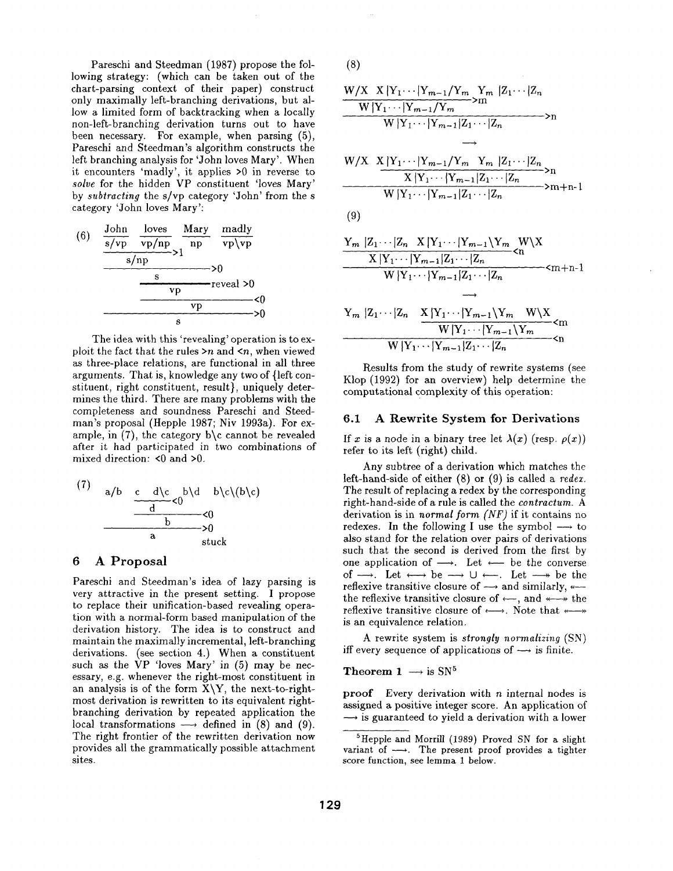Pareschi and Steedman (1987) propose the following strategy: (which can be taken out of the chart-parsing context of their paper) construct only maximally left-branching derivations, but allow a limited form of backtracking when a locally non-left-branching derivation turns out to have been necessary. For example, when parsing (5), Pareschi and Steedman's algorithm constructs the left branching analysis for 'John loves Mary'. When it encounters 'madly', it applies >0 in reverse to *solve* for the hidden VP constituent 'loves Mary' by *subtracting* the s/vp category 'John' from the s category 'John loves Mary':



The idea with this 'revealing' operation is to exploit the fact that the rules  $>n$  and  $\leq n$ , when viewed as three-place relations, are functional in all three arguments. That is, knowledge any two of {left constituent, right constituent, result), uniquely determines the third. There are many problems with the completeness and soundness Pareschi and Steedman's proposal (Hepple 1987; Niv 1993a). For example, in  $(7)$ , the category b\c cannot be revealed after it had participated in two combinations of mixed direction: <0 and >0.

(7) 
$$
a/b
$$
  $\underbrace{c \quad d \setminus c}_{d} < 0$   
\n $\underbrace{c \quad d \setminus c}_{b} < 0$   
\n $\underbrace{0}_{\text{stuck}}$ 

## 6 A Proposal

Pareschi and Steedman's idea of lazy parsing is very attractive in the present setting. I propose to replace their unification-based revealing operation with a normal-form based manipulation of the derivation history. The idea is to construct and maintain the maximally incremental, left-branching derivations. (see section 4.) When a constituent such as the  $VP$  'loves Mary' in  $(5)$  may be necessary, e.g. whenever the right-most constituent in an analysis is of the form  $X\Y$ , the next-to-rightmost derivation is rewritten to its equivalent rightbranching derivation by repeated application the local transformations  $\longrightarrow$  defined in (8) and (9). The right frontier of the rewritten derivation now provides all the grammatically possible attachment sites.

$$
(8)
$$

$$
\frac{W/X \quad X \mid Y_1 \cdots \mid Y_{m-1}/Y_m \quad Y_m \mid Z_1 \cdots \mid Z_n}{W \mid Y_1 \cdots \mid Y_{m-1}/Y_m} > m} \rightarrow n
$$

$$
\frac{W/X \quad X \mid Y_1 \cdots \mid Y_{m-1}/Y_m \quad Y_m \mid Z_1 \cdots \mid Z_n}{X \mid Y_1 \cdots \mid Y_{m-1} \mid Z_1 \cdots \mid Z_n} > n
$$
  
W \mid Y\_1 \cdots \mid Y\_{m-1} \mid Z\_1 \cdots \mid Z\_n \qquad \qquad > m+n-1

$$
^{(9)}
$$

$$
\frac{Y_m |Z_1 \cdots |Z_n \times |Y_1 \cdots |Y_{m-1} \setminus Y_m \times W \setminus X}{X |Y_1 \cdots |Y_{m-1} |Z_1 \cdots |Z_n} \leq n}{W |Y_1 \cdots |Y_{m-1} |Z_1 \cdots |Z_n} \leq m+n-1
$$

 $\longrightarrow$ 

$$
Y_m |Z_1 \cdots |Z_n \t X |Y_1 \cdots |Y_{m-1} \setminus Y_m \t W \setminus X
$$
  
 
$$
\frac{W |Y_1 \cdots |Y_{m-1}| \setminus Y_m}{W |Y_1 \cdots |Y_{m-1}| Z_1 \cdots |Z_n} \leq n
$$

Results from the study of rewrite systems (see Klop (1992) for an overview) help determine the computational complexity of this operation:

#### **6.1 A Rewrite System for Derivations**

If x is a node in a binary tree let  $\lambda(x)$  (resp.  $\rho(x)$ ) refer to its left (right) child.

Any subtree of a derivation which matches the left-hand-side of either (8) or (9) is called a *redez.*  The result of replacing a redex by the corresponding right-hand-side of a rule is called the *eontractum. A*  derivation is in *normal form (NF)* if it contains no redexes. In the following I use the symbol  $\longrightarrow$  to also stand for the relation over pairs of derivations such that the second is derived from the first by one application of  $\longrightarrow$ . Let  $\longleftarrow$  be the converse of  $\longrightarrow$ . Let  $\longleftrightarrow$  be  $\longrightarrow$  U  $\longleftarrow$ . Let  $\longrightarrow$  be the reflexive transitive closure of  $\longrightarrow$  and similarly, the reflexive transitive closure of  $\leftarrow$ , and  $\leftarrow$  the reflexive transitive closure of  $\longleftrightarrow$ . Note that  $\longleftarrow$ is an equivalence relation.

A rewrite system is *strongly normalizing* (SN) iff every sequence of applications of  $\rightarrow$  is finite.

#### Theorem 1  $\longrightarrow$  is SN<sup>5</sup>

**proof** Every derivation with  $n$  internal nodes is assigned a positive integer score. An application of  $\rightarrow$  is guaranteed to yield a derivation with a lower

<sup>5</sup>Hepple and Morrill (1989) Proved SN for a slight variant of  $\longrightarrow$ . The present proof provides a tighter score function, see lemma 1 below.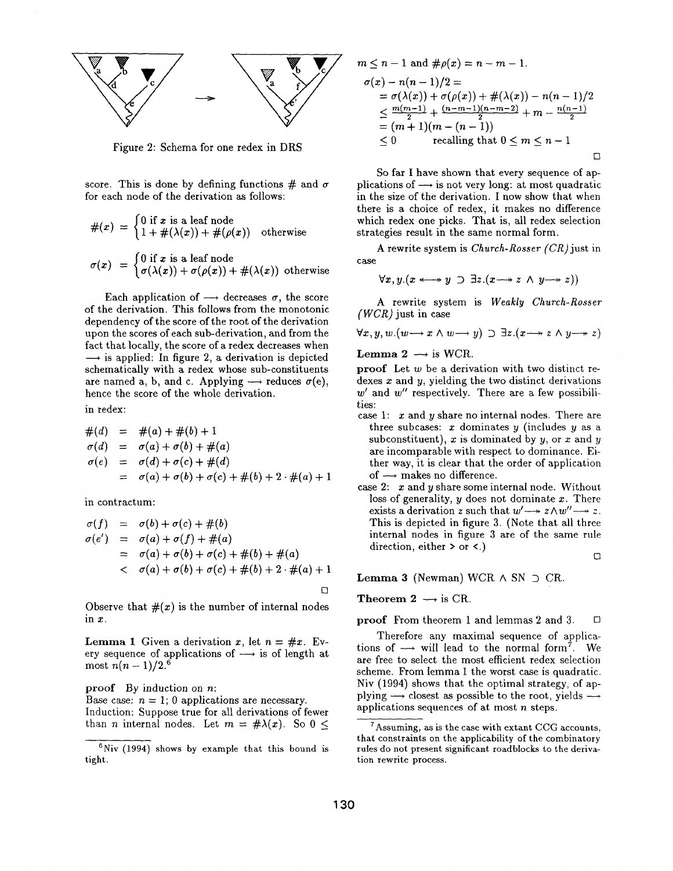

Figure 2: Schema for one redex in DRS

score. This is done by defining functions  $\#$  and  $\sigma$ for each node of the derivation as follows:

$$
\#(x) = \begin{cases} 0 \text{ if } x \text{ is a leaf node} \\ 1 + \#(\lambda(x)) + \#(\rho(x)) \quad \text{otherwise} \end{cases}
$$

$$
\sigma(x) = \begin{cases} 0 \text{ if } x \text{ is a leaf node} \\ \sigma(\lambda(x)) + \sigma(\rho(x)) + \#(\lambda(x)) \quad \text{otherwise} \end{cases}
$$

Each application of  $\rightarrow$  decreases  $\sigma$ , the score of the derivation. This follows from the monotonic dependency of the score of the root of the derivation upon the scores of each sub-derivation, and from the fact that locally, the score of a redex decreases when  $\rightarrow$  is applied: In figure 2, a derivation is depicted schematically with a redex whose sub-constituents are named a, b, and c. Applying  $\rightarrow$  reduces  $\sigma(e)$ , hence the score of the whole derivation.

in redex:

$$
#(d) = #(a) + #(b) + 1
$$
  
\n
$$
\sigma(d) = \sigma(a) + \sigma(b) + #(a)
$$
  
\n
$$
\sigma(e) = \sigma(d) + \sigma(c) + #(d)
$$
  
\n
$$
= \sigma(a) + \sigma(b) + \sigma(c) + #(b) + 2 \cdot #(a) + 1
$$

in contractum:

$$
\sigma(f) = \sigma(b) + \sigma(c) + \#(b) \n\sigma(e') = \sigma(a) + \sigma(f) + \#(a) \n= \sigma(a) + \sigma(b) + \sigma(c) + \#(b) + \#(a) \n< \sigma(a) + \sigma(b) + \sigma(c) + \#(b) + 2 \cdot \#(a) + 1
$$

Observe that  $#(x)$  is the number of internal nodes in x.

**Lemma 1** Given a derivation x, let  $n = \#x$ . Every sequence of applications of  $\longrightarrow$  is of length at most  $n(n - 1)/2$ .<sup>6</sup>

proof By induction on n:

Base case:  $n = 1$ ; 0 applications are necessary. Induction: Suppose true for all derivations of fewer than *n* internal nodes. Let  $m = \# \lambda(x)$ . So 0 <

$$
m \le n - 1 \text{ and } \# \rho(x) = n - m - 1.
$$
  
\n
$$
\sigma(x) - n(n - 1)/2 =
$$
  
\n
$$
= \sigma(\lambda(x)) + \sigma(\rho(x)) + \#(\lambda(x)) - n(n - 1)/2
$$
  
\n
$$
\le \frac{m(m-1)}{2} + \frac{(n-m-1)(n-m-2)}{2} + m - \frac{n(n-1)}{2}
$$
  
\n
$$
= (m + 1)(m - (n - 1))
$$
  
\n
$$
\le 0 \qquad \text{recalling that } 0 \le m \le n - 1
$$

So far I have shown that every sequence of applications of  $\rightarrow$  is not very long: at most quadratic in the size of the derivation. I now show that when there is a choice of redex, it makes no difference which redex one picks. That is, all redex selection strategies result in the same normal form.

A rewrite system is *Church-Rosser (CR)just* in case

$$
\forall x, y. (x \leftrightarrow y \supset \exists z. (x \rightarrow z \land y \rightarrow z))
$$

A rewrite system is *Weakly Church-Rosser (WCR)* just in ease

$$
\forall x, y, w. (w \rightarrow x \land w \rightarrow y) \supset \exists z. (x \rightarrow z \land y \rightarrow z)
$$

**Lemma 2**  $\longrightarrow$  is WCR.

proof Let  $w$  be a derivation with two distinct redexes  $x$  and  $y$ , yielding the two distinct derivations  $w'$  and  $w''$  respectively. There are a few possibilities:

- case 1:  $x$  and  $y$  share no internal nodes. There are three subcases: x dominates y (includes  $y$  as a subconstituent), x is dominated by  $y$ , or x and y are incomparable with respect to dominance. Either way, it is clear that the order of application of  $\longrightarrow$  makes no difference.
- case 2:  $x$  and  $y$  share some internal node. Without loss of generality,  $y$  does not dominate  $x$ . There exists a derivation z such that  $w' \rightarrow z \wedge w'' \rightarrow z$ . This is depicted in figure 3. (Note that all three internal nodes in figure 3 are of the same rule direction, either > or <.)  $\Box$

**Lemma 3** (Newman) WCR  $\land$  SN  $\supset$  CR.

#### Theorem 2  $\longrightarrow$  is CR.

**proof** From theorem 1 and lemmas 2 and 3.  $\Box$ 

Therefore any maximal sequence of applications of  $\rightarrow$  will lead to the normal form<sup>7</sup>. We are free to select the most efficient redex selection scheme. From lemma 1 the worst case is quadratic. Niv (1994) shows that the optimal strategy, of applying  $\rightarrow$  closest as possible to the root, yields  $\rightarrow$ applications sequences of at most n steps.

 $6$ Niv (1994) shows by example that this bound is tight.

<sup>7</sup>Assuming, as is the case with extant CCG accounts, that constraints on the applicability of the combinatory rules do not present significant roadblocks to the derivation rewrite process.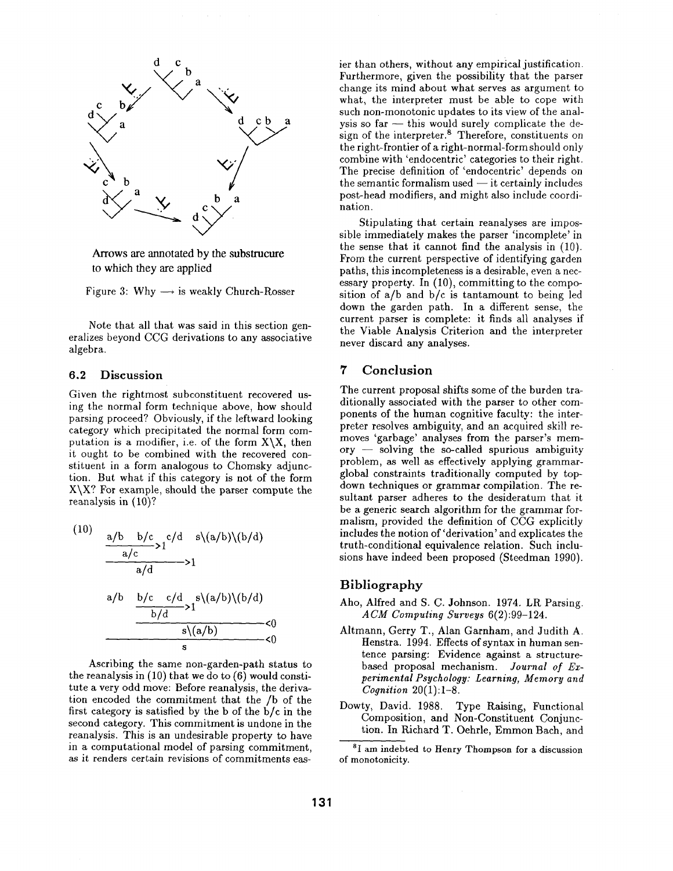

Arrows are annotated by the substrucure to which they are applied

Figure 3: Why  $\longrightarrow$  is weakly Church-Rosser

Note that all that was said in this section generalizes beyond CCG derivations to any associative algebra.

#### 6.2 Discussion

Given the rightmost subconstituent recovered using the normal form technique above, how should parsing proceed? Obviously, if the leftward looking category which precipitated the normal form computation is a modifier, i.e. of the form  $X \setminus X$ , then it ought to be combined with the recovered constituent in a form analogous to Chomsky adjunction. But what if this category is not of the form  $X \ X$ ? For example, should the parser compute the reanalysis in (10)?

(10)  
\n
$$
\frac{a/b - b/c}{a/c} > 1^{c/d - s\{(a/b)\}(b/d)}
$$
\n
$$
\frac{a/b - b/c - c/d}{b/d} > 1^{s\{(a/b)\}(b/d)}
$$
\n
$$
\frac{b/c - c/d}{s\{(a/b)\}} < 0
$$
\n
$$
\frac{s(a/b)}{s} < 0
$$

Ascribing the same non-garden-path status to the reanalysis in (10) that we do to (6) would constitute a very odd move: Before reanalysis, the derivation encoded the commitment that the /b of the first category is satisfied by the b of the b/c in the second category. This commitment is undone in the reanalysis. This is an undesirable property to have in a computational model of parsing commitment, as it renders certain revisions of commitments easier than others, without any empirical justification. Furthermore, given the possibility that the parser change its mind about what serves as argument to what, the interpreter must be able to cope with such non-monotonic updates to its view of the analysis so  $far$  -- this would surely complicate the design of the interpreter. $8$  Therefore, constituents on the right-frontier of a right-normal-form should only combine with 'endocentric' categories to their right. The precise definition of 'endocentric' depends on the semantic formalism used  $-$  it certainly includes post-head modifiers, and might also include coordination.

Stipulating that certain reanalyses are impossible immediately makes the parser 'incomplete' in the sense that it cannot find the analysis in (10). From the current perspective of identifying garden paths, this incompleteness is a desirable, even a necessary property. In (10), committing to the composition of  $a/b$  and  $b/c$  is tantamount to being led down the garden path. In a different sense, the current parser is complete: it finds all analyses if the Viable Analysis Criterion and the interpreter never discard any analyses.

## 7 Conclusion

The current proposal shifts some of the burden traditionally associated with the parser to other components of the human cognitive faculty: the interpreter resolves ambiguity, and an acquired skill removes 'garbage' analyses from the parser's mem- $\text{ory}$  -- solving the so-called spurious ambiguity problem, as well as effectively applying grammarglobal constraints traditionally computed by topdown techniques or grammar compilation. The resultant parser adheres to the desideratum that it be a generic search algorithm for the grammar formalism, provided the definition of CCG explicitly includes the notion of 'derivation' and explicates the truth-conditional equivalence relation. Such inclusions have indeed been proposed (Steedman 1990).

### Bibliography

- Aho, Alfred and S. C. Johnson. 1974. LR Parsing. *ACM Computing Surveys* 6(2):99-124.
- Altmann, Gerry T., Alan Garnham, and Judith A. Henstra. 1994. Effects of syntax in human sentence parsing: Evidence against a structurebased proposal mechanism. *Journal of Experimental Psychology: Learning, Memory and Cognition* 20(1):1-8.
- Dowty, David. 1988. Type Raising, Functional Composition, and Non-Constituent Conjunction. In Richard T. Oehrle, Emmon Bach, and

<sup>&</sup>lt;sup>8</sup>I am indebted to Henry Thompson for a discussion of monotonicity.